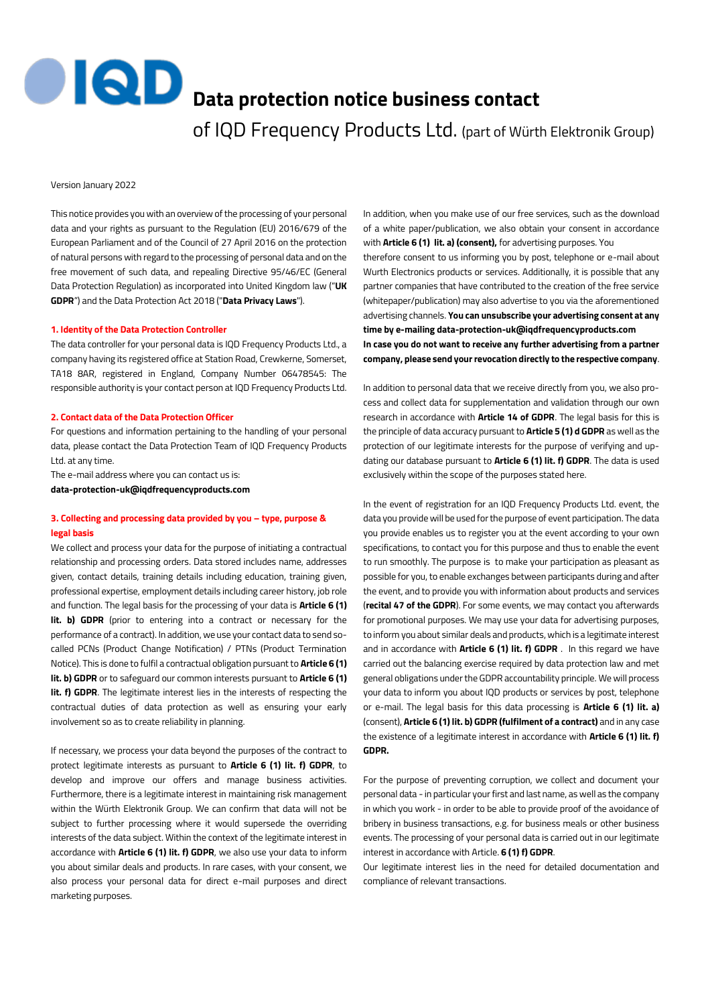**IQD Data protection notice business contact** 

of IQD Frequency Products Ltd. (part of Würth Elektronik Group)

Version January 2022

This notice provides you with an overview of the processing of your personal data and your rights as pursuant to the Regulation (EU) 2016/679 of the European Parliament and of the Council of 27 April 2016 on the protection of natural persons with regard to the processing of personal data and on the free movement of such data, and repealing Directive 95/46/EC (General Data Protection Regulation) as incorporated into United Kingdom law ("**UK GDPR**") and the Data Protection Act 2018 ("**Data Privacy Laws**").

#### **1. Identity of the Data Protection Controller**

The data controller for your personal data is IQD Frequency Products Ltd., a company having its registered office at Station Road, Crewkerne, Somerset, TA18 8AR, registered in England, Company Number 06478545: The responsible authority is your contact person at IQD Frequency Products Ltd.

#### **2. Contact data of the Data Protection Officer**

For questions and information pertaining to the handling of your personal data, please contact the Data Protection Team of IQD Frequency Products Ltd. at any time.

The e-mail address where you can contact us is: **[data-protection-uk@iqdfrequencyproducts.com](mailto:data-protection-uk@iqdfrequencyproducts.com)**

# **3. Collecting and processing data provided by you – type, purpose & legal basis**

We collect and process your data for the purpose of initiating a contractual relationship and processing orders. Data stored includes name, addresses given, contact details, training details including education, training given, professional expertise, employment details including career history, job role and function. The legal basis for the processing of your data is **Article 6 (1) lit. b) GDPR** (prior to entering into a contract or necessary for the performance of a contract). In addition, we use your contact data to send socalled PCNs (Product Change Notification) / PTNs (Product Termination Notice). This is done to fulfil a contractual obligation pursuant to **Article 6 (1) lit. b) GDPR** or to safeguard our common interests pursuant to **Article 6 (1) lit. f) GDPR**. The legitimate interest lies in the interests of respecting the contractual duties of data protection as well as ensuring your early involvement so as to create reliability in planning.

If necessary, we process your data beyond the purposes of the contract to protect legitimate interests as pursuant to **Article 6 (1) lit. f) GDPR**, to develop and improve our offers and manage business activities. Furthermore, there is a legitimate interest in maintaining risk management within the Würth Elektronik Group. We can confirm that data will not be subject to further processing where it would supersede the overriding interests of the data subject. Within the context of the legitimate interest in accordance with **Article 6 (1) lit. f) GDPR**, we also use your data to inform you about similar deals and products. In rare cases, with your consent, we also process your personal data for direct e-mail purposes and direct marketing purposes.

In addition, when you make use of our free services, such as the download of a white paper/publication, we also obtain your consent in accordance with **Article 6 (1) lit. a) (consent),** for advertising purposes. You

therefore consent to us informing you by post, telephone or e-mail about Wurth Electronics products or services. Additionally, it is possible that any partner companies that have contributed to the creation of the free service (whitepaper/publication) may also advertise to you via the aforementioned advertising channels. **You can unsubscribe your advertising consent at any time by e-mailing [data-protection-uk@iqdfrequencyproducts.com](mailto:data-protection-uk@iqdfrequencyproducts.com) In case you do not want to receive any further advertising from a partner company, please send your revocation directly to the respective company**.

In addition to personal data that we receive directly from you, we also process and collect data for supplementation and validation through our own research in accordance with **Article 14 of GDPR**. The legal basis for this is the principle of data accuracy pursuant to **Article 5 (1) d GDPR** as well as the protection of our legitimate interests for the purpose of verifying and updating our database pursuant to **Article 6 (1) lit. f) GDPR**. The data is used exclusively within the scope of the purposes stated here.

In the event of registration for an IQD Frequency Products Ltd. event, the data you provide will be used for the purpose of event participation. The data you provide enables us to register you at the event according to your own specifications, to contact you for this purpose and thus to enable the event to run smoothly. The purpose is to make your participation as pleasant as possible for you, to enable exchanges between participants during and after the event, and to provide you with information about products and services (**recital 47 of the GDPR**). For some events, we may contact you afterwards for promotional purposes. We may use your data for advertising purposes, to inform you about similar deals and products, which is a legitimate interest and in accordance with **Article 6 (1) lit. f) GDPR** . In this regard we have carried out the balancing exercise required by data protection law and met general obligations under the GDPR accountability principle. We will process your data to inform you about IQD products or services by post, telephone or e-mail. The legal basis for this data processing is **Article 6 (1) lit. a)** (consent), **Article 6 (1) lit. b) GDPR (fulfilment of a contract)** and in any case the existence of a legitimate interest in accordance with **Article 6 (1) lit. f) GDPR.**

For the purpose of preventing corruption, we collect and document your personal data - in particular your first and last name, as well as the company in which you work - in order to be able to provide proof of the avoidance of bribery in business transactions, e.g. for business meals or other business events. The processing of your personal data is carried out in our legitimate interest in accordance with Article. **6 (1) f) GDPR**.

Our legitimate interest lies in the need for detailed documentation and compliance of relevant transactions.